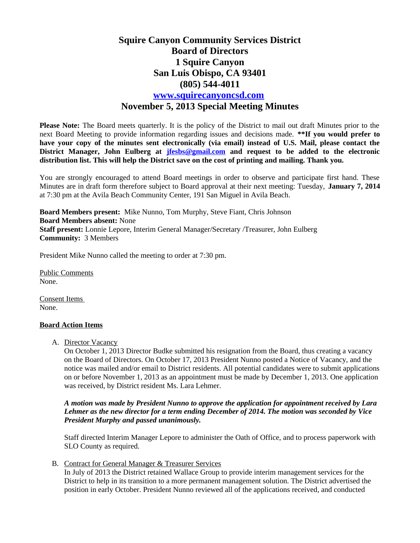# **Squire Canyon Community Services District Board of Directors 1 Squire Canyon San Luis Obispo, CA 93401 (805) 544-4011 [www.squirecanyoncsd.com](http://www.squirecanyoncsd.com/) November 5, 2013 Special Meeting Minutes**

**Please Note:** The Board meets quarterly. It is the policy of the District to mail out draft Minutes prior to the next Board Meeting to provide information regarding issues and decisions made. **\*\*If you would prefer to have your copy of the minutes sent electronically (via email) instead of U.S. Mail, please contact the District Manager, John Eulberg at [jfesbs@gmail.com](mailto:jfesbs@gmail.com) and request to be added to the electronic distribution list. This will help the District save on the cost of printing and mailing. Thank you.** 

You are strongly encouraged to attend Board meetings in order to observe and participate first hand. These Minutes are in draft form therefore subject to Board approval at their next meeting: Tuesday, **January 7, 2014** at 7:30 pm at the Avila Beach Community Center, 191 San Miguel in Avila Beach.

**Board Members present:** Mike Nunno, Tom Murphy, Steve Fiant, Chris Johnson **Board Members absent:** None **Staff present:** Lonnie Lepore, Interim General Manager/Secretary /Treasurer, John Eulberg **Community:** 3 Members

President Mike Nunno called the meeting to order at 7:30 pm.

Public Comments None.

Consent Items None.

### **Board Action Items**

A. Director Vacancy

On October 1, 2013 Director Budke submitted his resignation from the Board, thus creating a vacancy on the Board of Directors. On October 17, 2013 President Nunno posted a Notice of Vacancy, and the notice was mailed and/or email to District residents. All potential candidates were to submit applications on or before November 1, 2013 as an appointment must be made by December 1, 2013. One application was received, by District resident Ms. Lara Lehmer.

#### *A motion was made by President Nunno to approve the application for appointment received by Lara Lehmer as the new director for a term ending December of 2014. The motion was seconded by Vice President Murphy and passed unanimously.*

Staff directed Interim Manager Lepore to administer the Oath of Office, and to process paperwork with SLO County as required.

B. Contract for General Manager & Treasurer Services

In July of 2013 the District retained Wallace Group to provide interim management services for the District to help in its transition to a more permanent management solution. The District advertised the position in early October. President Nunno reviewed all of the applications received, and conducted